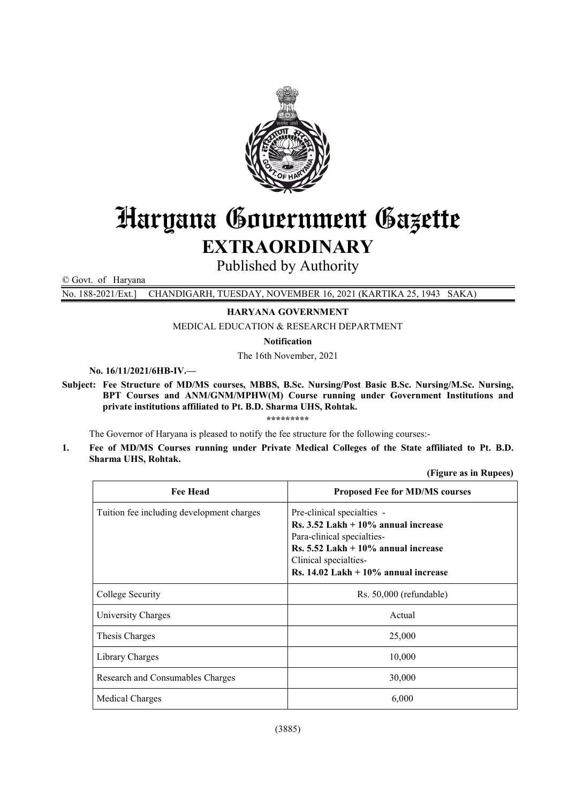

# Haryana Government Gazette EXTRAORDINARY

Published by Authority

© Govt. of Haryana

No. 188-2021/Ext.] CHANDIGARH, TUESDAY, NOVEMBER 16, 2021 (KARTIKA 25, 1943 SAKA)

## HARYANA GOVERNMENT

MEDICAL EDUCATION & RESEARCH DEPARTMENT

Notification

The 16th November, 2021

No. 16/11/2021/6HB-IV.—

Subject: Fee Structure of MD/MS courses, MBBS, B.Sc. Nursing/Post Basic B.Sc. Nursing/M.Sc. Nursing, BPT Courses and ANM/GNM/MPHW(M) Course running under Government Institutions and private institutions affiliated to Pt. B.D. Sharma UHS, Rohtak.

\*\*\*\*\*\*\*\*\*

The Governor of Haryana is pleased to notify the fee structure for the following courses:-

1. Fee of MD/MS Courses running under Private Medical Colleges of the State affiliated to Pt. B.D. Sharma UHS, Rohtak.

(Figure as in Rupees)

| <b>Fee Head</b>                           | <b>Proposed Fee for MD/MS courses</b>                                                                                                                                                                                                    |
|-------------------------------------------|------------------------------------------------------------------------------------------------------------------------------------------------------------------------------------------------------------------------------------------|
| Tuition fee including development charges | Pre-clinical specialties -<br>$\text{Rs. } 3.52 \text{ Lakh} + 10\%$ annual increase<br>Para-clinical specialties-<br>$\text{Rs.}$ 5.52 Lakh + 10% annual increase<br>Clinical specialties-<br>Rs. $14.02$ Lakh + $10\%$ annual increase |
| College Security                          | $Rs. 50,000$ (refundable)                                                                                                                                                                                                                |
| University Charges                        | Actual                                                                                                                                                                                                                                   |
| Thesis Charges                            | 25,000                                                                                                                                                                                                                                   |
| Library Charges                           | 10,000                                                                                                                                                                                                                                   |
| Research and Consumables Charges          | 30,000                                                                                                                                                                                                                                   |
| Medical Charges                           | 6,000                                                                                                                                                                                                                                    |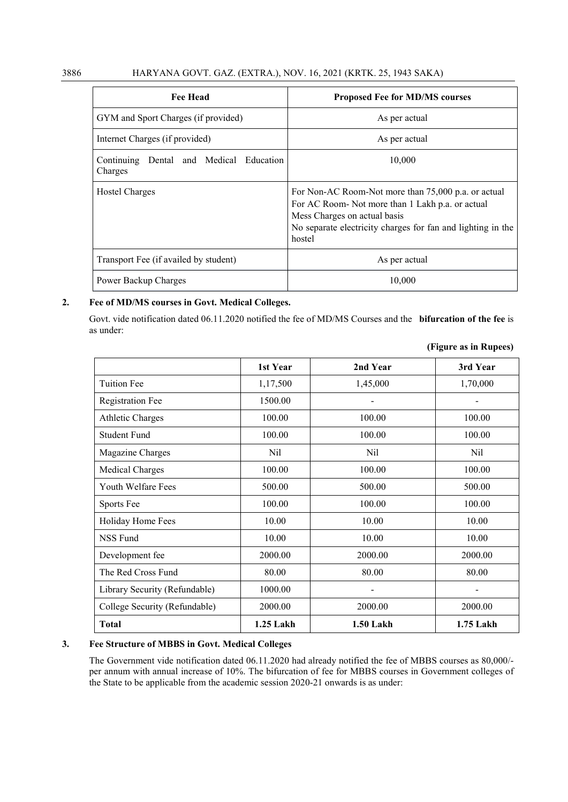| <b>Fee Head</b>                                    | <b>Proposed Fee for MD/MS courses</b>                                                                                                                                                                            |
|----------------------------------------------------|------------------------------------------------------------------------------------------------------------------------------------------------------------------------------------------------------------------|
| GYM and Sport Charges (if provided)                | As per actual                                                                                                                                                                                                    |
| Internet Charges (if provided)                     | As per actual                                                                                                                                                                                                    |
| Continuing Dental and Medical Education<br>Charges | 10,000                                                                                                                                                                                                           |
| Hostel Charges                                     | For Non-AC Room-Not more than 75,000 p.a. or actual<br>For AC Room- Not more than 1 Lakh p.a. or actual<br>Mess Charges on actual basis<br>No separate electricity charges for fan and lighting in the<br>hostel |
| Transport Fee (if availed by student)              | As per actual                                                                                                                                                                                                    |
| Power Backup Charges                               | 10.000                                                                                                                                                                                                           |

#### 2. Fee of MD/MS courses in Govt. Medical Colleges.

Govt. vide notification dated 06.11.2020 notified the fee of MD/MS Courses and the bifurcation of the fee is as under:

|                               | 1st Year  | 2nd Year         | 3rd Year  |
|-------------------------------|-----------|------------------|-----------|
| <b>Tuition Fee</b>            | 1,17,500  | 1,45,000         | 1,70,000  |
| <b>Registration Fee</b>       | 1500.00   |                  |           |
| <b>Athletic Charges</b>       | 100.00    | 100.00           | 100.00    |
| Student Fund                  | 100.00    | 100.00           | 100.00    |
| Magazine Charges              | Nil       | Nil              | Nil       |
| Medical Charges               | 100.00    | 100.00           | 100.00    |
| Youth Welfare Fees            | 500.00    | 500.00           | 500.00    |
| Sports Fee                    | 100.00    | 100.00           | 100.00    |
| Holiday Home Fees             | 10.00     | 10.00            | 10.00     |
| <b>NSS Fund</b>               | 10.00     | 10.00            | 10.00     |
| Development fee               | 2000.00   | 2000.00          | 2000.00   |
| The Red Cross Fund            | 80.00     | 80.00            | 80.00     |
| Library Security (Refundable) | 1000.00   |                  |           |
| College Security (Refundable) | 2000.00   | 2000.00          | 2000.00   |
| <b>Total</b>                  | 1.25 Lakh | <b>1.50 Lakh</b> | 1.75 Lakh |

| (Figure as in Rupees) |
|-----------------------|
|                       |

## 3. Fee Structure of MBBS in Govt. Medical Colleges

The Government vide notification dated 06.11.2020 had already notified the fee of MBBS courses as 80,000/ per annum with annual increase of 10%. The bifurcation of fee for MBBS courses in Government colleges of the State to be applicable from the academic session 2020-21 onwards is as under: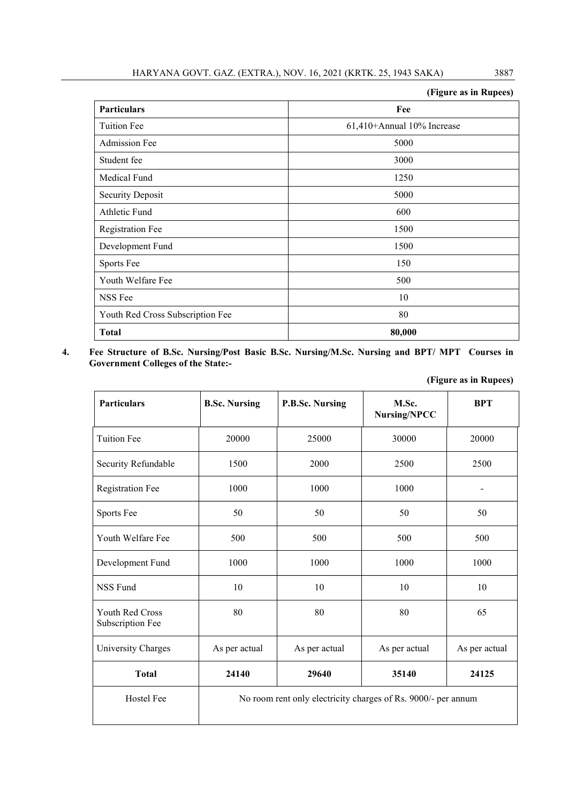|                                  | (Figure as in Rupees)      |
|----------------------------------|----------------------------|
| Particulars                      | Fee                        |
| <b>Tuition Fee</b>               | 61,410+Annual 10% Increase |
| <b>Admission Fee</b>             | 5000                       |
| Student fee                      | 3000                       |
| Medical Fund                     | 1250                       |
| <b>Security Deposit</b>          | 5000                       |
| Athletic Fund                    | 600                        |
| <b>Registration Fee</b>          | 1500                       |
| Development Fund                 | 1500                       |
| Sports Fee                       | 150                        |
| Youth Welfare Fee                | 500                        |
| NSS Fee                          | 10                         |
| Youth Red Cross Subscription Fee | 80                         |
| <b>Total</b>                     | 80,000                     |

4. Fee Structure of B.Sc. Nursing/Post Basic B.Sc. Nursing/M.Sc. Nursing and BPT/ MPT Courses in Government Colleges of the State:-

| Particulars                                | <b>B.Sc. Nursing</b> | P.B.Sc. Nursing | M.Sc.<br><b>Nursing/NPCC</b>                                  | <b>BPT</b>    |
|--------------------------------------------|----------------------|-----------------|---------------------------------------------------------------|---------------|
| <b>Tuition Fee</b>                         | 20000                | 25000           | 30000                                                         | 20000         |
| Security Refundable                        | 1500                 | 2000            | 2500                                                          | 2500          |
| <b>Registration Fee</b>                    | 1000                 | 1000            | 1000                                                          |               |
| Sports Fee                                 | 50                   | 50              | 50                                                            | 50            |
| Youth Welfare Fee                          | 500                  | 500             | 500                                                           | 500           |
| Development Fund                           | 1000                 | 1000            | 1000                                                          | 1000          |
| <b>NSS Fund</b>                            | 10                   | 10              | 10                                                            | 10            |
| <b>Youth Red Cross</b><br>Subscription Fee | 80                   | 80              | 80                                                            | 65            |
| University Charges                         | As per actual        | As per actual   | As per actual                                                 | As per actual |
| <b>Total</b>                               | 24140                | 29640           | 35140                                                         | 24125         |
| Hostel Fee                                 |                      |                 | No room rent only electricity charges of Rs. 9000/- per annum |               |